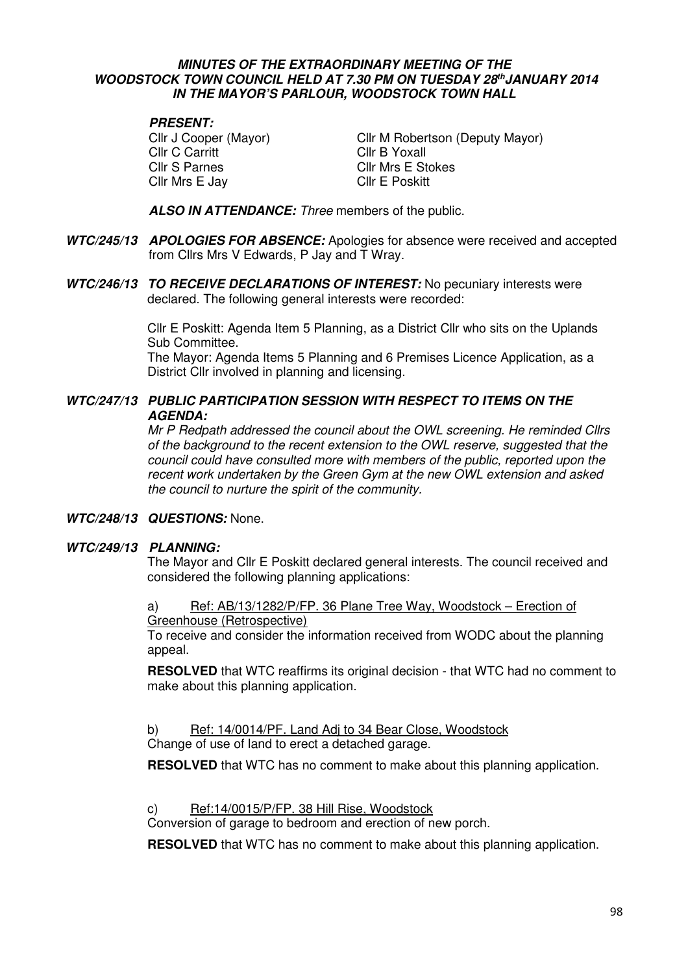#### **MINUTES OF THE EXTRAORDINARY MEETING OF THE WOODSTOCK TOWN COUNCIL HELD AT 7.30 PM ON TUESDAY 28thJANUARY 2014 IN THE MAYOR'S PARLOUR, WOODSTOCK TOWN HALL**

# **PRESENT:**

Cllr C Carritt Cllr B Yoxall Cllr S Parnes Cllr Mrs E Stokes Cllr Mrs E Jay Cllr E Poskitt

Cllr J Cooper (Mayor) Cllr M Robertson (Deputy Mayor)

**ALSO IN ATTENDANCE:** Three members of the public.

- **WTC/245/13 APOLOGIES FOR ABSENCE:** Apologies for absence were received and accepted from Cllrs Mrs V Edwards, P Jay and T Wray.
- **WTC/246/13 TO RECEIVE DECLARATIONS OF INTEREST:** No pecuniary interests were declared. The following general interests were recorded:

Cllr E Poskitt: Agenda Item 5 Planning, as a District Cllr who sits on the Uplands Sub Committee.

 The Mayor: Agenda Items 5 Planning and 6 Premises Licence Application, as a District Cllr involved in planning and licensing.

## **WTC/247/13 PUBLIC PARTICIPATION SESSION WITH RESPECT TO ITEMS ON THE AGENDA:**

Mr P Redpath addressed the council about the OWL screening. He reminded Cllrs of the background to the recent extension to the OWL reserve, suggested that the council could have consulted more with members of the public, reported upon the recent work undertaken by the Green Gym at the new OWL extension and asked the council to nurture the spirit of the community.

## **WTC/248/13 QUESTIONS:** None.

## **WTC/249/13 PLANNING:**

 The Mayor and Cllr E Poskitt declared general interests. The council received and considered the following planning applications:

a) Ref: AB/13/1282/P/FP. 36 Plane Tree Way, Woodstock – Erection of Greenhouse (Retrospective)

To receive and consider the information received from WODC about the planning appeal.

**RESOLVED** that WTC reaffirms its original decision - that WTC had no comment to make about this planning application.

## b) Ref: 14/0014/PF. Land Adj to 34 Bear Close, Woodstock

Change of use of land to erect a detached garage.

**RESOLVED** that WTC has no comment to make about this planning application.

c) Ref:14/0015/P/FP. 38 Hill Rise, Woodstock

Conversion of garage to bedroom and erection of new porch.

**RESOLVED** that WTC has no comment to make about this planning application.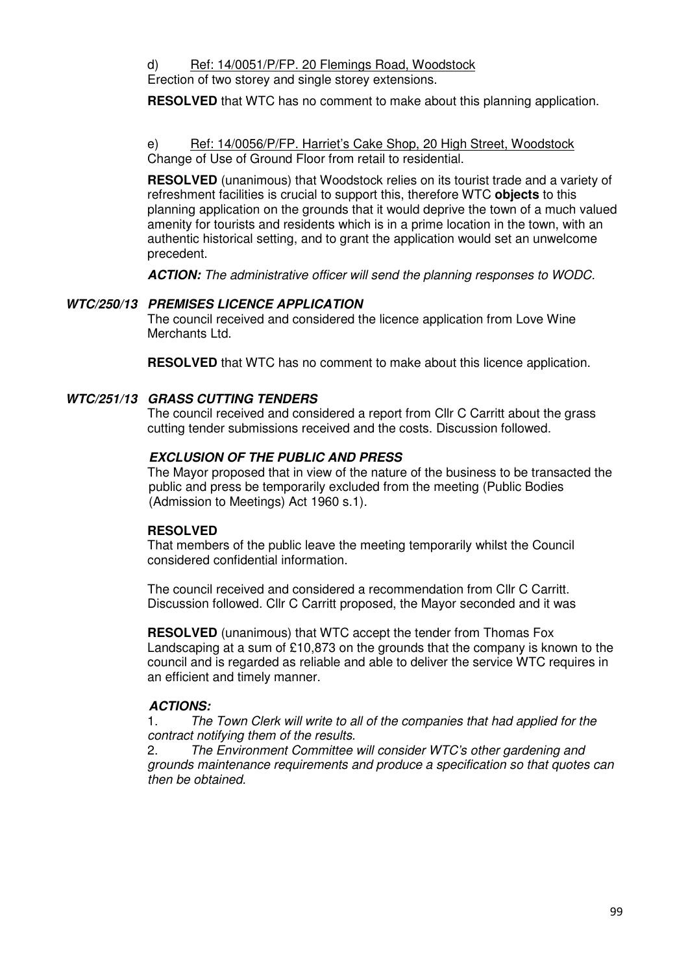d) Ref: 14/0051/P/FP. 20 Flemings Road, Woodstock

Erection of two storey and single storey extensions.

**RESOLVED** that WTC has no comment to make about this planning application.

e) Ref: 14/0056/P/FP. Harriet's Cake Shop, 20 High Street, Woodstock Change of Use of Ground Floor from retail to residential.

**RESOLVED** (unanimous) that Woodstock relies on its tourist trade and a variety of refreshment facilities is crucial to support this, therefore WTC **objects** to this planning application on the grounds that it would deprive the town of a much valued amenity for tourists and residents which is in a prime location in the town, with an authentic historical setting, and to grant the application would set an unwelcome precedent.

**ACTION:** The administrative officer will send the planning responses to WODC.

## **WTC/250/13 PREMISES LICENCE APPLICATION**

The council received and considered the licence application from Love Wine Merchants Ltd.

**RESOLVED** that WTC has no comment to make about this licence application.

## **WTC/251/13 GRASS CUTTING TENDERS**

The council received and considered a report from Cllr C Carritt about the grass cutting tender submissions received and the costs. Discussion followed.

#### **EXCLUSION OF THE PUBLIC AND PRESS**

The Mayor proposed that in view of the nature of the business to be transacted the public and press be temporarily excluded from the meeting (Public Bodies (Admission to Meetings) Act 1960 s.1).

## **RESOLVED**

That members of the public leave the meeting temporarily whilst the Council considered confidential information.

 The council received and considered a recommendation from Cllr C Carritt. Discussion followed. Cllr C Carritt proposed, the Mayor seconded and it was

**RESOLVED** (unanimous) that WTC accept the tender from Thomas Fox Landscaping at a sum of £10,873 on the grounds that the company is known to the council and is regarded as reliable and able to deliver the service WTC requires in an efficient and timely manner.

## **ACTIONS:**

1. The Town Clerk will write to all of the companies that had applied for the contract notifying them of the results.

2. The Environment Committee will consider WTC's other gardening and grounds maintenance requirements and produce a specification so that quotes can then be obtained.